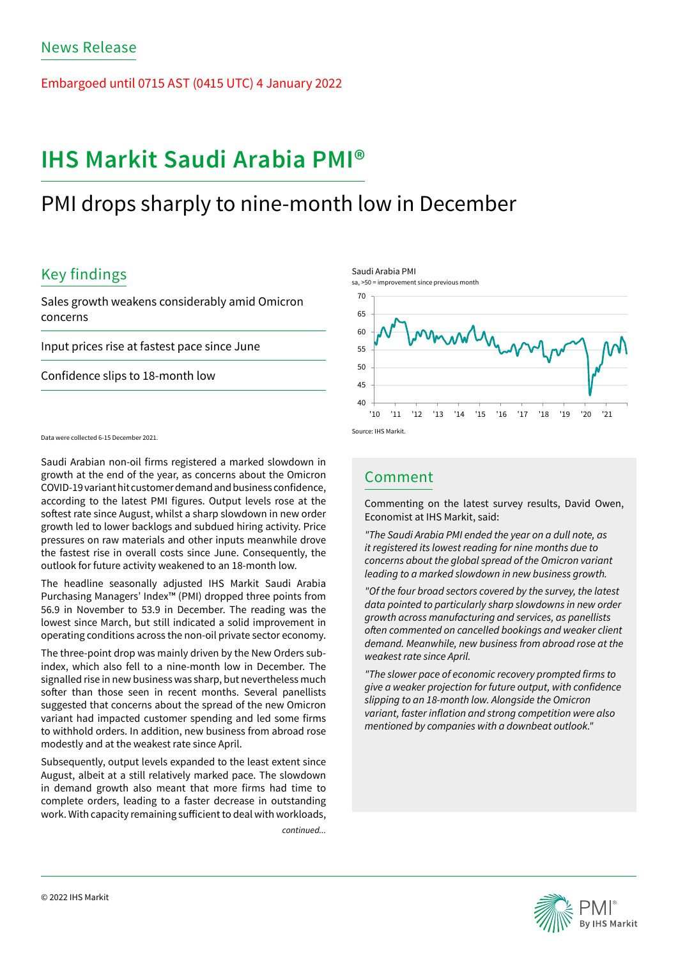Embargoed until 0715 AST (0415 UTC) 4 January 2022

# **IHS Markit Saudi Arabia PMI®**

# PMI drops sharply to nine-month low in December

## Key findings

Sales growth weakens considerably amid Omicron concerns

Input prices rise at fastest pace since June

Confidence slips to 18-month low

Data were collected 6-15 December 2021.

Saudi Arabian non-oil firms registered a marked slowdown in growth at the end of the year, as concerns about the Omicron COVID-19 variant hit customer demand and business confidence, according to the latest PMI figures. Output levels rose at the softest rate since August, whilst a sharp slowdown in new order growth led to lower backlogs and subdued hiring activity. Price pressures on raw materials and other inputs meanwhile drove the fastest rise in overall costs since June. Consequently, the outlook for future activity weakened to an 18-month low.

The headline seasonally adjusted IHS Markit Saudi Arabia Purchasing Managers' Index™ (PMI) dropped three points from 56.9 in November to 53.9 in December. The reading was the lowest since March, but still indicated a solid improvement in operating conditions across the non-oil private sector economy.

The three-point drop was mainly driven by the New Orders subindex, which also fell to a nine-month low in December. The signalled rise in new business was sharp, but nevertheless much softer than those seen in recent months. Several panellists suggested that concerns about the spread of the new Omicron variant had impacted customer spending and led some firms to withhold orders. In addition, new business from abroad rose modestly and at the weakest rate since April.

Subsequently, output levels expanded to the least extent since August, albeit at a still relatively marked pace. The slowdown in demand growth also meant that more firms had time to complete orders, leading to a faster decrease in outstanding work. With capacity remaining sufficient to deal with workloads,

*continued...*

Saudi Arabia PMI



## Comment

Commenting on the latest survey results, David Owen, Economist at IHS Markit, said:

*"The Saudi Arabia PMI ended the year on a dull note, as it registered its lowest reading for nine months due to concerns about the global spread of the Omicron variant leading to a marked slowdown in new business growth.*

*"Of the four broad sectors covered by the survey, the latest data pointed to particularly sharp slowdowns in new order growth across manufacturing and services, as panellists*  often commented on cancelled bookings and weaker client *demand. Meanwhile, new business from abroad rose at the weakest rate since April.*

"The slower pace of economic recovery prompted firms to give a weaker projection for future output, with confidence *slipping to an 18-month low. Alongside the Omicron*  variant, faster inflation and strong competition were also *mentioned by companies with a downbeat outlook."*